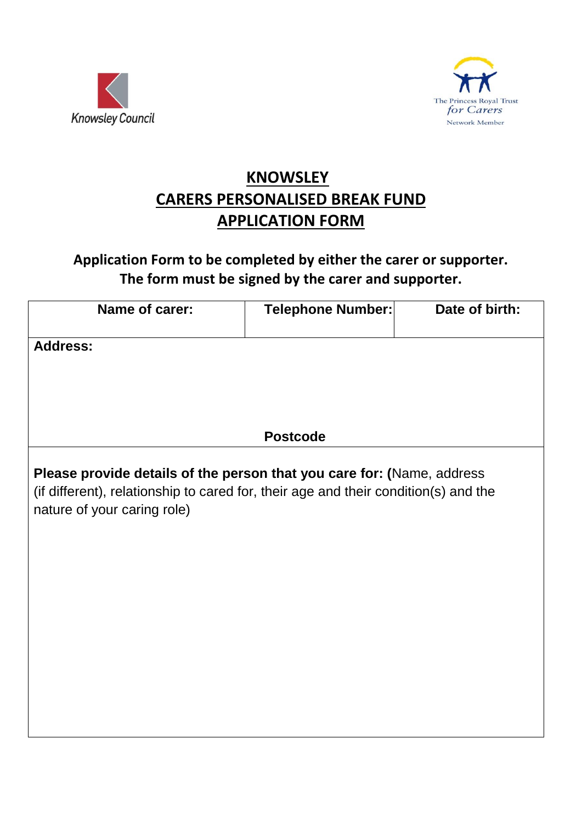



## **KNOWSLEY CARERS PERSONALISED BREAK FUND APPLICATION FORM**

## **Application Form to be completed by either the carer or supporter. The form must be signed by the carer and supporter.**

| Name of carer:                                                                                                                                                                               | Telephone Number: | Date of birth: |
|----------------------------------------------------------------------------------------------------------------------------------------------------------------------------------------------|-------------------|----------------|
| <b>Address:</b>                                                                                                                                                                              |                   |                |
|                                                                                                                                                                                              |                   |                |
|                                                                                                                                                                                              |                   |                |
|                                                                                                                                                                                              | <b>Postcode</b>   |                |
| Please provide details of the person that you care for: (Name, address<br>(if different), relationship to cared for, their age and their condition(s) and the<br>nature of your caring role) |                   |                |
|                                                                                                                                                                                              |                   |                |
|                                                                                                                                                                                              |                   |                |
|                                                                                                                                                                                              |                   |                |
|                                                                                                                                                                                              |                   |                |
|                                                                                                                                                                                              |                   |                |
|                                                                                                                                                                                              |                   |                |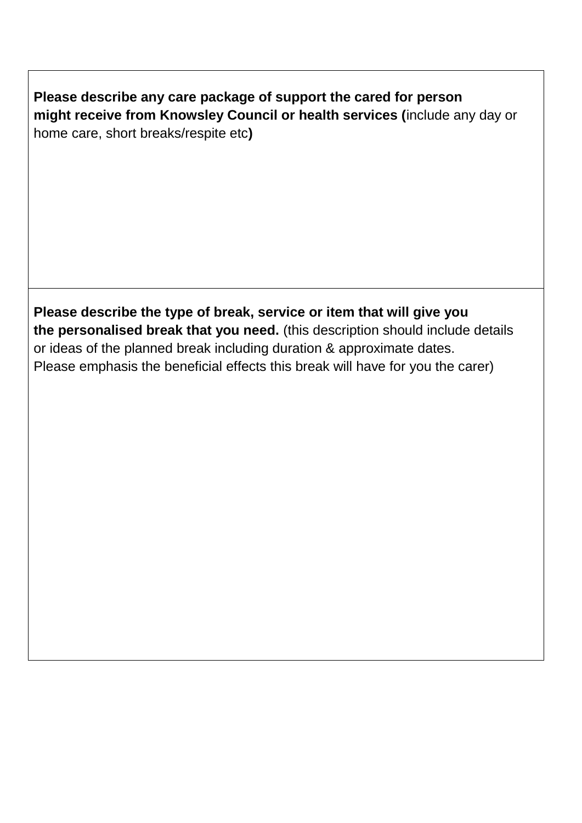**Please describe any care package of support the cared for person might receive from Knowsley Council or health services (**include any day or home care, short breaks/respite etc**)**

**Please describe the type of break, service or item that will give you the personalised break that you need.** (this description should include details or ideas of the planned break including duration & approximate dates. Please emphasis the beneficial effects this break will have for you the carer)